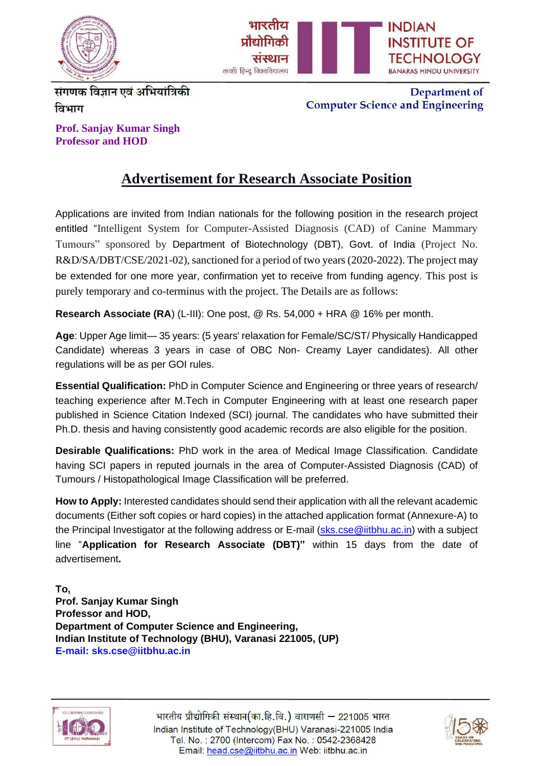



संगणक विज्ञान एवं अभियांत्रिकी विभाग

Department of **Computer Science and Engineering** 

**Prof. Sanjay Kumar Singh Professor and HOD**

## **Advertisement for Research Associate Position**

Applications are invited from Indian nationals for the following position in the research project entitled "Intelligent System for Computer-Assisted Diagnosis (CAD) of Canine Mammary Tumours" sponsored by Department of Biotechnology (DBT), Govt. of India (Project No. R&D/SA/DBT/CSE/2021-02), sanctioned for a period of two years (2020-2022). The project may be extended for one more year, confirmation yet to receive from funding agency. This post is purely temporary and co-terminus with the project. The Details are as follows:

**Research Associate (RA**) (L-III): One post, @ Rs. 54,000 + HRA @ 16% per month.

**Age**: Upper Age limit— 35 years: (5 years' relaxation for Female/SC/ST/ Physically Handicapped Candidate) whereas 3 years in case of OBC Non- Creamy Layer candidates). All other regulations will be as per GOI rules.

**Essential Qualification:** PhD in Computer Science and Engineering or three years of research/ teaching experience after M.Tech in Computer Engineering with at least one research paper published in Science Citation Indexed (SCI) journal. The candidates who have submitted their Ph.D. thesis and having consistently good academic records are also eligible for the position.

**Desirable Qualifications:** PhD work in the area of Medical Image Classification. Candidate having SCI papers in reputed journals in the area of Computer-Assisted Diagnosis (CAD) of Tumours / Histopathological Image Classification will be preferred.

**How to Apply:** Interested candidates should send their application with all the relevant academic documents (Either soft copies or hard copies) in the attached application format (Annexure-A) to the Principal Investigator at the following address or E-mail [\(sks.cse@iitbhu.ac.in\)](mailto:sks.cse@iitbhu.ac.in) with a subject line "**Application for Research Associate (DBT)"** within 15 days from the date of advertisement**.**

**To, Prof. Sanjay Kumar Singh Professor and HOD, Department of Computer Science and Engineering, Indian Institute of Technology (BHU), Varanasi 221005, (UP) E-mail: sks.cse@iitbhu.ac.in**



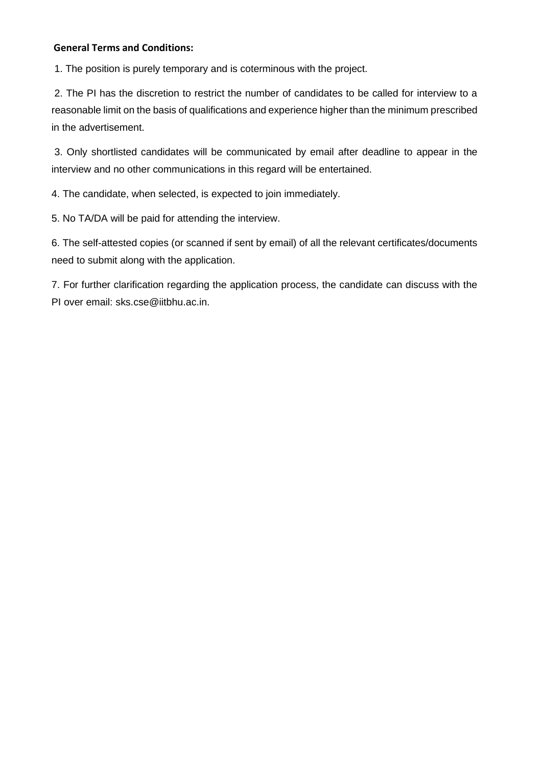## **General Terms and Conditions:**

1. The position is purely temporary and is coterminous with the project.

2. The PI has the discretion to restrict the number of candidates to be called for interview to a reasonable limit on the basis of qualifications and experience higher than the minimum prescribed in the advertisement.

3. Only shortlisted candidates will be communicated by email after deadline to appear in the interview and no other communications in this regard will be entertained.

4. The candidate, when selected, is expected to join immediately.

5. No TA/DA will be paid for attending the interview.

6. The self-attested copies (or scanned if sent by email) of all the relevant certificates/documents need to submit along with the application.

7. For further clarification regarding the application process, the candidate can discuss with the PI over email: [sks.cse@iitbhu.ac.in.](mailto:sks.cse@iitbhu.ac.in)